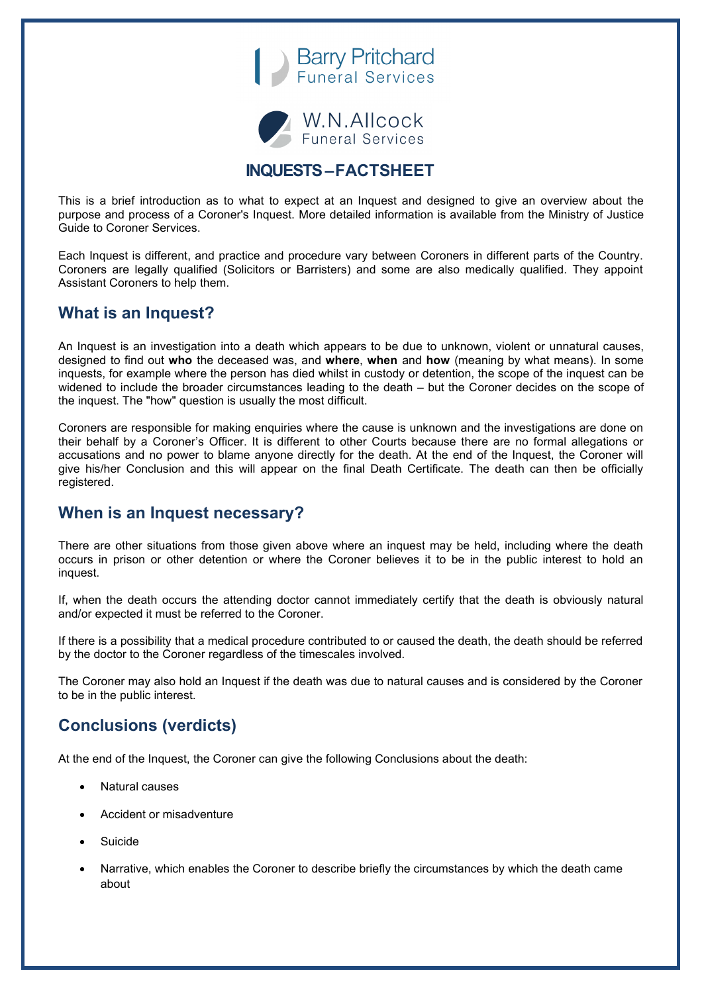



# **INQUESTS –FACTSHEET**

This is a brief introduction as to what to expect at an Inquest and designed to give an overview about the purpose and process of a Coroner's Inquest. More detailed information is available from the Ministry of Justice Guide to Coroner Services.

Each Inquest is different, and practice and procedure vary between Coroners in different parts of the Country. Coroners are legally qualified (Solicitors or Barristers) and some are also medically qualified. They appoint Assistant Coroners to help them.

# **What is an Inquest?**

An Inquest is an investigation into a death which appears to be due to unknown, violent or unnatural causes, designed to find out **who** the deceased was, and **where**, **when** and **how** (meaning by what means). In some inquests, for example where the person has died whilst in custody or detention, the scope of the inquest can be widened to include the broader circumstances leading to the death – but the Coroner decides on the scope of the inquest. The "how" question is usually the most difficult.

Coroners are responsible for making enquiries where the cause is unknown and the investigations are done on their behalf by a Coroner's Officer. It is different to other Courts because there are no formal allegations or accusations and no power to blame anyone directly for the death. At the end of the Inquest, the Coroner will give his/her Conclusion and this will appear on the final Death Certificate. The death can then be officially registered.

### **When is an Inquest necessary?**

There are other situations from those given above where an inquest may be held, including where the death occurs in prison or other detention or where the Coroner believes it to be in the public interest to hold an inquest.

If, when the death occurs the attending doctor cannot immediately certify that the death is obviously natural and/or expected it must be referred to the Coroner.

If there is a possibility that a medical procedure contributed to or caused the death, the death should be referred by the doctor to the Coroner regardless of the timescales involved.

The Coroner may also hold an Inquest if the death was due to natural causes and is considered by the Coroner to be in the public interest.

# **Conclusions (verdicts)**

At the end of the Inquest, the Coroner can give the following Conclusions about the death:

- Natural causes
- Accident or misadventure
- **Suicide**
- Narrative, which enables the Coroner to describe briefly the circumstances by which the death came about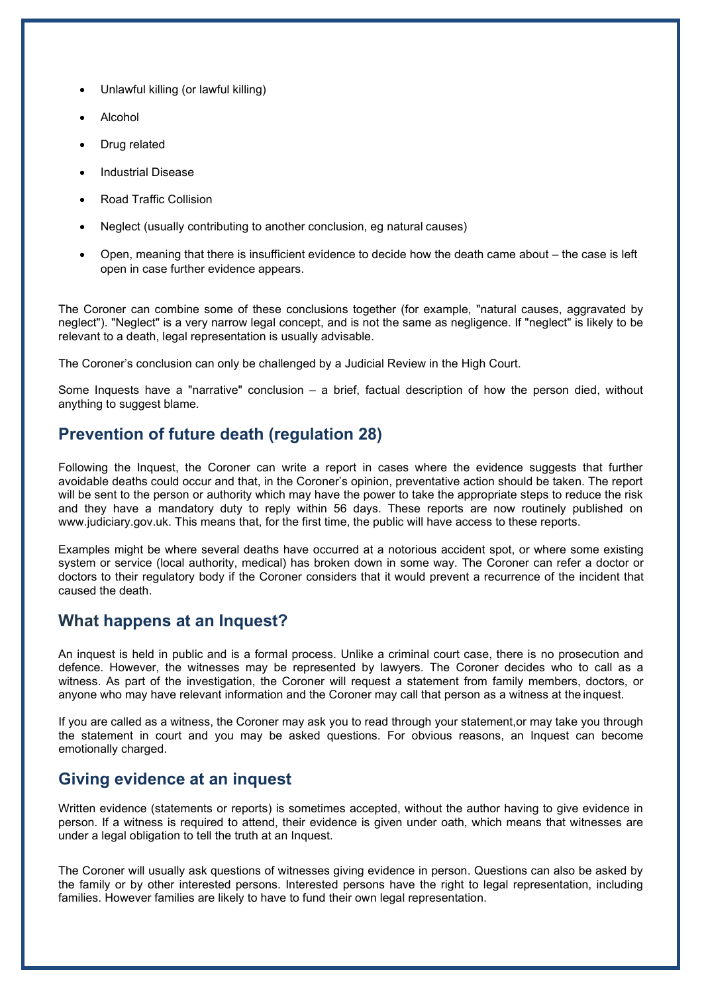- Unlawful killing (or lawful killing)
- Alcohol
- Drug related
- Industrial Disease
- Road Traffic Collision
- Neglect (usually contributing to another conclusion, eg natural causes)
- Open, meaning that there is insufficient evidence to decide how the death came about the case is left open in case further evidence appears.

The Coroner can combine some of these conclusions together (for example, "natural causes, aggravated by neglect"). "Neglect" is a very narrow legal concept, and is not the same as negligence. If "neglect" is likely to be relevant to a death, legal representation is usually advisable.

The Coroner's conclusion can only be challenged by a Judicial Review in the High Court.

Some Inquests have a "narrative" conclusion – a brief, factual description of how the person died, without anything to suggest blame.

#### **Prevention of future death (regulation 28)**

Following the Inquest, the Coroner can write a report in cases where the evidence suggests that further avoidable deaths could occur and that, in the Coroner's opinion, preventative action should be taken. The report will be sent to the person or authority which may have the power to take the appropriate steps to reduce the risk and they have a mandatory duty to reply within 56 days. These reports are now routinely published on [www.judiciary.gov.uk. T](http://www.judiciary.gov.uk/)his means that, for the first time, the public will have access to these reports.

Examples might be where several deaths have occurred at a notorious accident spot, or where some existing system or service (local authority, medical) has broken down in some way. The Coroner can refer a doctor or doctors to their regulatory body if the Coroner considers that it would prevent a recurrence of the incident that caused the death.

#### **What happens at an Inquest?**

An inquest is held in public and is a formal process. Unlike a criminal court case, there is no prosecution and defence. However, the witnesses may be represented by lawyers. The Coroner decides who to call as a witness. As part of the investigation, the Coroner will request a statement from family members, doctors, or anyone who may have relevant information and the Coroner may call that person as a witness at the inquest.

If you are called as a witness, the Coroner may ask you to read through your statement,or may take you through the statement in court and you may be asked questions. For obvious reasons, an Inquest can become emotionally charged.

### **Giving evidence at an inquest**

Written evidence (statements or reports) is sometimes accepted, without the author having to give evidence in person. If a witness is required to attend, their evidence is given under oath, which means that witnesses are under a legal obligation to tell the truth at an Inquest.

The Coroner will usually ask questions of witnesses giving evidence in person. Questions can also be asked by the family or by other interested persons. Interested persons have the right to legal representation, including families. However families are likely to have to fund their own legal representation.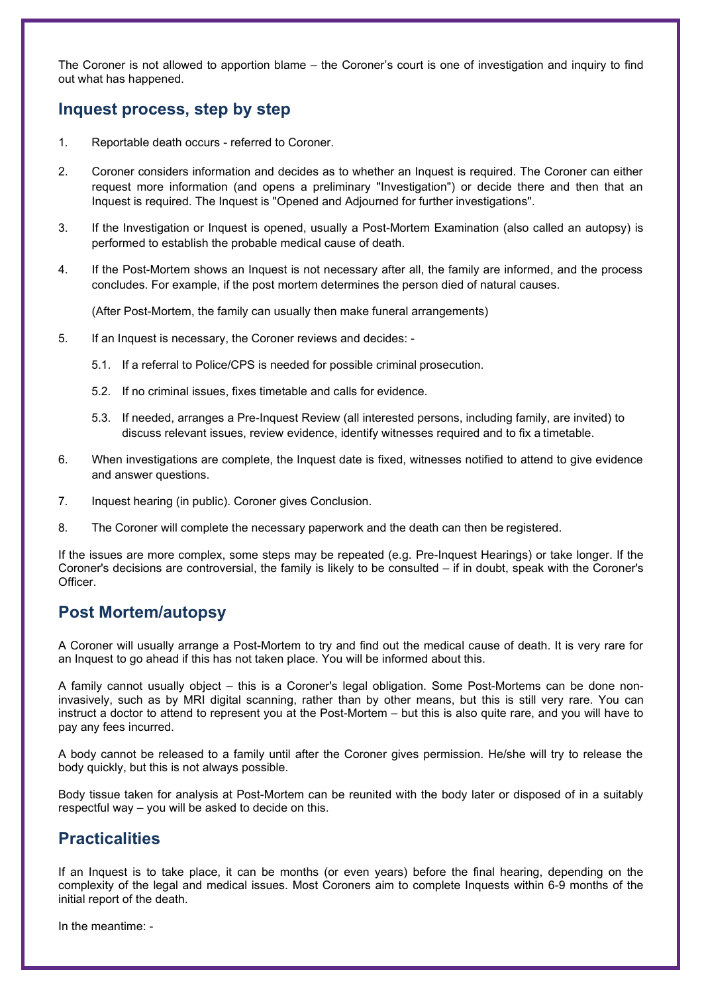The Coroner is not allowed to apportion blame – the Coroner's court is one of investigation and inquiry to find out what has happened.

# **Inquest process, step by step**

- 1. Reportable death occurs referred to Coroner.
- 2. Coroner considers information and decides as to whether an Inquest is required. The Coroner can either request more information (and opens a preliminary "Investigation") or decide there and then that an Inquest is required. The Inquest is "Opened and Adjourned for further investigations".
- 3. If the Investigation or Inquest is opened, usually a Post-Mortem Examination (also called an autopsy) is performed to establish the probable medical cause of death.
- 4. If the Post-Mortem shows an Inquest is not necessary after all, the family are informed, and the process concludes. For example, if the post mortem determines the person died of natural causes.

(After Post-Mortem, the family can usually then make funeral arrangements)

- 5. If an Inquest is necessary, the Coroner reviews and decides:
	- 5.1. If a referral to Police/CPS is needed for possible criminal prosecution.
	- 5.2. If no criminal issues, fixes timetable and calls for evidence.
	- 5.3. If needed, arranges a Pre-Inquest Review (all interested persons, including family, are invited) to discuss relevant issues, review evidence, identify witnesses required and to fix a timetable.
- 6. When investigations are complete, the Inquest date is fixed, witnesses notified to attend to give evidence and answer questions.
- 7. Inquest hearing (in public). Coroner gives Conclusion.
- 8. The Coroner will complete the necessary paperwork and the death can then be registered.

If the issues are more complex, some steps may be repeated (e.g. Pre-Inquest Hearings) or take longer. If the Coroner's decisions are controversial, the family is likely to be consulted – if in doubt, speak with the Coroner's Officer.

### **Post Mortem/autopsy**

A Coroner will usually arrange a Post-Mortem to try and find out the medical cause of death. It is very rare for an Inquest to go ahead if this has not taken place. You will be informed about this.

A family cannot usually object – this is a Coroner's legal obligation. Some Post-Mortems can be done noninvasively, such as by MRI digital scanning, rather than by other means, but this is still very rare. You can instruct a doctor to attend to represent you at the Post-Mortem – but this is also quite rare, and you will have to pay any fees incurred.

A body cannot be released to a family until after the Coroner gives permission. He/she will try to release the body quickly, but this is not always possible.

Body tissue taken for analysis at Post-Mortem can be reunited with the body later or disposed of in a suitably respectful way – you will be asked to decide on this.

### **Practicalities**

If an Inquest is to take place, it can be months (or even years) before the final hearing, depending on the complexity of the legal and medical issues. Most Coroners aim to complete Inquests within 6-9 months of the initial report of the death.

In the meantime: -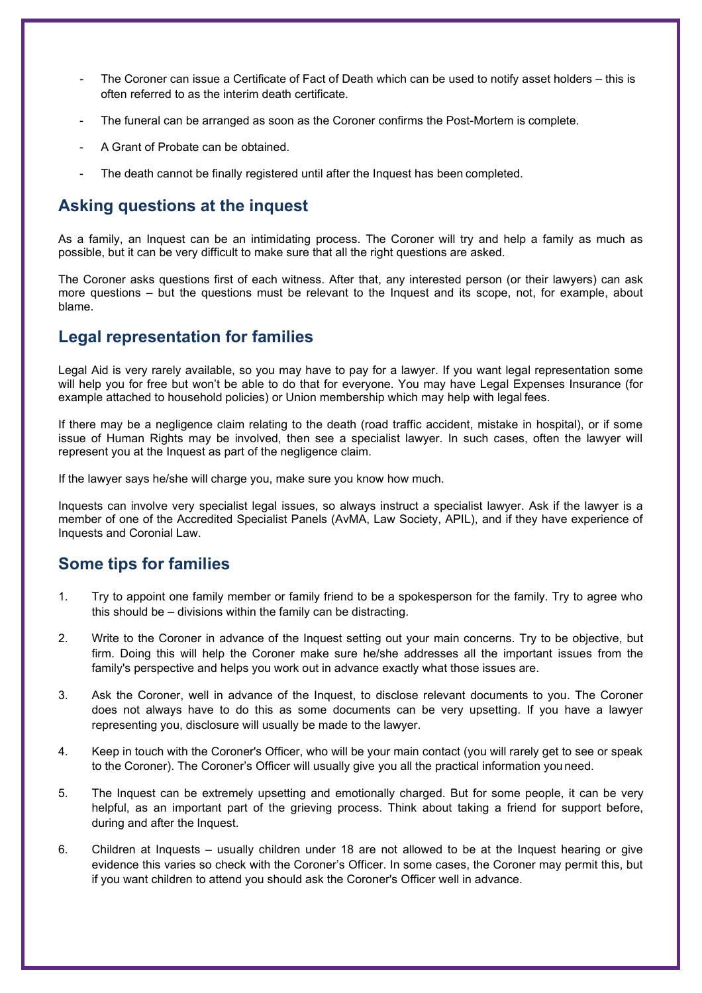- The Coroner can issue a Certificate of Fact of Death which can be used to notify asset holders this is often referred to as the interim death certificate.
- The funeral can be arranged as soon as the Coroner confirms the Post-Mortem is complete.
- A Grant of Probate can be obtained.
- The death cannot be finally registered until after the Inquest has been completed.

### **Asking questions at the inquest**

As a family, an Inquest can be an intimidating process. The Coroner will try and help a family as much as possible, but it can be very difficult to make sure that all the right questions are asked.

The Coroner asks questions first of each witness. After that, any interested person (or their lawyers) can ask more questions – but the questions must be relevant to the Inquest and its scope, not, for example, about blame.

# **Legal representation for families**

Legal Aid is very rarely available, so you may have to pay for a lawyer. If you want legal representation some will help you for free but won't be able to do that for everyone. You may have Legal Expenses Insurance (for example attached to household policies) or Union membership which may help with legal fees.

If there may be a negligence claim relating to the death (road traffic accident, mistake in hospital), or if some issue of Human Rights may be involved, then see a specialist lawyer. In such cases, often the lawyer will represent you at the Inquest as part of the negligence claim.

If the lawyer says he/she will charge you, make sure you know how much.

Inquests can involve very specialist legal issues, so always instruct a specialist lawyer. Ask if the lawyer is a member of one of the Accredited Specialist Panels (AvMA, Law Society, APIL), and if they have experience of Inquests and Coronial Law.

# **Some tips for families**

- 1. Try to appoint one family member or family friend to be a spokesperson for the family. Try to agree who this should be – divisions within the family can be distracting.
- 2. Write to the Coroner in advance of the Inquest setting out your main concerns. Try to be objective, but firm. Doing this will help the Coroner make sure he/she addresses all the important issues from the family's perspective and helps you work out in advance exactly what those issues are.
- 3. Ask the Coroner, well in advance of the Inquest, to disclose relevant documents to you. The Coroner does not always have to do this as some documents can be very upsetting. If you have a lawyer representing you, disclosure will usually be made to the lawyer.
- 4. Keep in touch with the Coroner's Officer, who will be your main contact (you will rarely get to see or speak to the Coroner). The Coroner's Officer will usually give you all the practical information you need.
- 5. The Inquest can be extremely upsetting and emotionally charged. But for some people, it can be very helpful, as an important part of the grieving process. Think about taking a friend for support before, during and after the Inquest.
- 6. Children at Inquests usually children under 18 are not allowed to be at the Inquest hearing or give evidence this varies so check with the Coroner's Officer. In some cases, the Coroner may permit this, but if you want children to attend you should ask the Coroner's Officer well in advance.